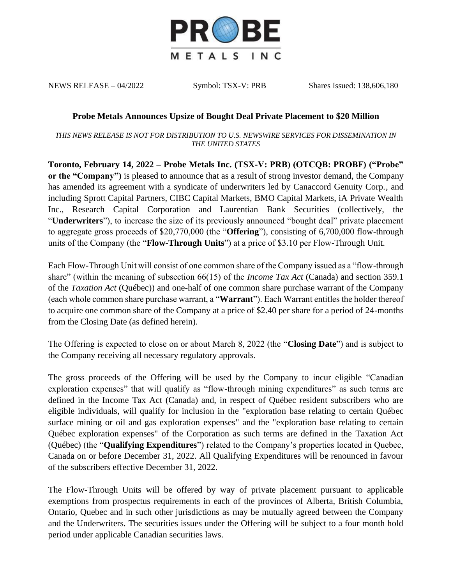

NEWS RELEASE – 04/2022 Symbol: TSX-V: PRB Shares Issued: 138,606,180

## **Probe Metals Announces Upsize of Bought Deal Private Placement to \$20 Million**

*THIS NEWS RELEASE IS NOT FOR DISTRIBUTION TO U.S. NEWSWIRE SERVICES FOR DISSEMINATION IN THE UNITED STATES*

**Toronto, February 14, 2022 – Probe Metals Inc. (TSX-V: PRB) (OTCQB: PROBF) ("Probe" or the "Company")** is pleased to announce that as a result of strong investor demand, the Company has amended its agreement with a syndicate of underwriters led by Canaccord Genuity Corp., and including Sprott Capital Partners, CIBC Capital Markets, BMO Capital Markets, iA Private Wealth Inc., Research Capital Corporation and Laurentian Bank Securities (collectively, the "**Underwriters**"), to increase the size of its previously announced "bought deal" private placement to aggregate gross proceeds of \$20,770,000 (the "**Offering**"), consisting of 6,700,000 flow-through units of the Company (the "**Flow-Through Units**") at a price of \$3.10 per Flow-Through Unit.

Each Flow-Through Unit will consist of one common share of the Company issued as a "flow-through share" (within the meaning of subsection 66(15) of the *Income Tax Act* (Canada) and section 359.1 of the *Taxation Act* (Québec)) and one-half of one common share purchase warrant of the Company (each whole common share purchase warrant, a "**Warrant**"). Each Warrant entitles the holder thereof to acquire one common share of the Company at a price of \$2.40 per share for a period of 24-months from the Closing Date (as defined herein).

The Offering is expected to close on or about March 8, 2022 (the "**Closing Date**") and is subject to the Company receiving all necessary regulatory approvals.

The gross proceeds of the Offering will be used by the Company to incur eligible "Canadian exploration expenses" that will qualify as "flow-through mining expenditures" as such terms are defined in the Income Tax Act (Canada) and, in respect of Québec resident subscribers who are eligible individuals, will qualify for inclusion in the "exploration base relating to certain Québec surface mining or oil and gas exploration expenses" and the "exploration base relating to certain Québec exploration expenses" of the Corporation as such terms are defined in the Taxation Act (Québec) (the "**Qualifying Expenditures**") related to the Company's properties located in Quebec, Canada on or before December 31, 2022. All Qualifying Expenditures will be renounced in favour of the subscribers effective December 31, 2022.

The Flow-Through Units will be offered by way of private placement pursuant to applicable exemptions from prospectus requirements in each of the provinces of Alberta, British Columbia, Ontario, Quebec and in such other jurisdictions as may be mutually agreed between the Company and the Underwriters. The securities issues under the Offering will be subject to a four month hold period under applicable Canadian securities laws.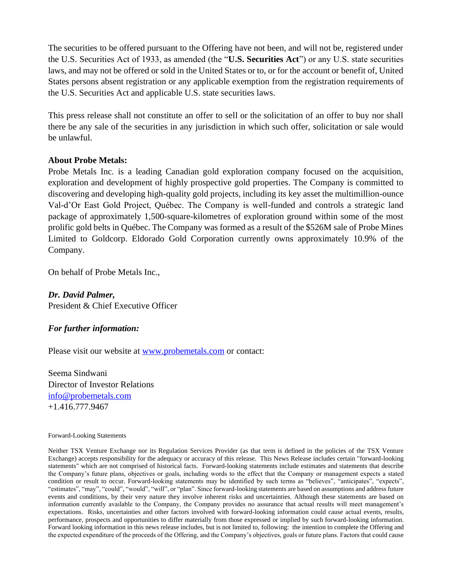The securities to be offered pursuant to the Offering have not been, and will not be, registered under the U.S. Securities Act of 1933, as amended (the "**U.S. Securities Act**") or any U.S. state securities laws, and may not be offered or sold in the United States or to, or for the account or benefit of, United States persons absent registration or any applicable exemption from the registration requirements of the U.S. Securities Act and applicable U.S. state securities laws.

This press release shall not constitute an offer to sell or the solicitation of an offer to buy nor shall there be any sale of the securities in any jurisdiction in which such offer, solicitation or sale would be unlawful.

## **About Probe Metals:**

Probe Metals Inc. is a leading Canadian gold exploration company focused on the acquisition, exploration and development of highly prospective gold properties. The Company is committed to discovering and developing high-quality gold projects, including its key asset the multimillion-ounce Val-d'Or East Gold Project, Québec. The Company is well-funded and controls a strategic land package of approximately 1,500-square-kilometres of exploration ground within some of the most prolific gold belts in Québec. The Company was formed as a result of the \$526M sale of Probe Mines Limited to Goldcorp. Eldorado Gold Corporation currently owns approximately 10.9% of the Company.

On behalf of Probe Metals Inc.,

*Dr. David Palmer,* President & Chief Executive Officer

## *For further information:*

Please visit our website at [www.probemetals.com](http://www.probemetals.com/) or contact:

Seema Sindwani Director of Investor Relations [info@probemetals.com](mailto:info@probemetals.com) +1.416.777.9467

## Forward-Looking Statements

Neither TSX Venture Exchange nor its Regulation Services Provider (as that term is defined in the policies of the TSX Venture Exchange) accepts responsibility for the adequacy or accuracy of this release. This News Release includes certain "forward-looking statements" which are not comprised of historical facts. Forward-looking statements include estimates and statements that describe the Company's future plans, objectives or goals, including words to the effect that the Company or management expects a stated condition or result to occur. Forward-looking statements may be identified by such terms as "believes", "anticipates", "expects", "estimates", "may", "could", "would", "will", or "plan". Since forward-looking statements are based on assumptions and address future events and conditions, by their very nature they involve inherent risks and uncertainties. Although these statements are based on information currently available to the Company, the Company provides no assurance that actual results will meet management's expectations. Risks, uncertainties and other factors involved with forward-looking information could cause actual events, results, performance, prospects and opportunities to differ materially from those expressed or implied by such forward-looking information. Forward looking information in this news release includes, but is not limited to, following: the intention to complete the Offering and the expected expenditure of the proceeds of the Offering, and the Company's objectives, goals or future plans. Factors that could cause